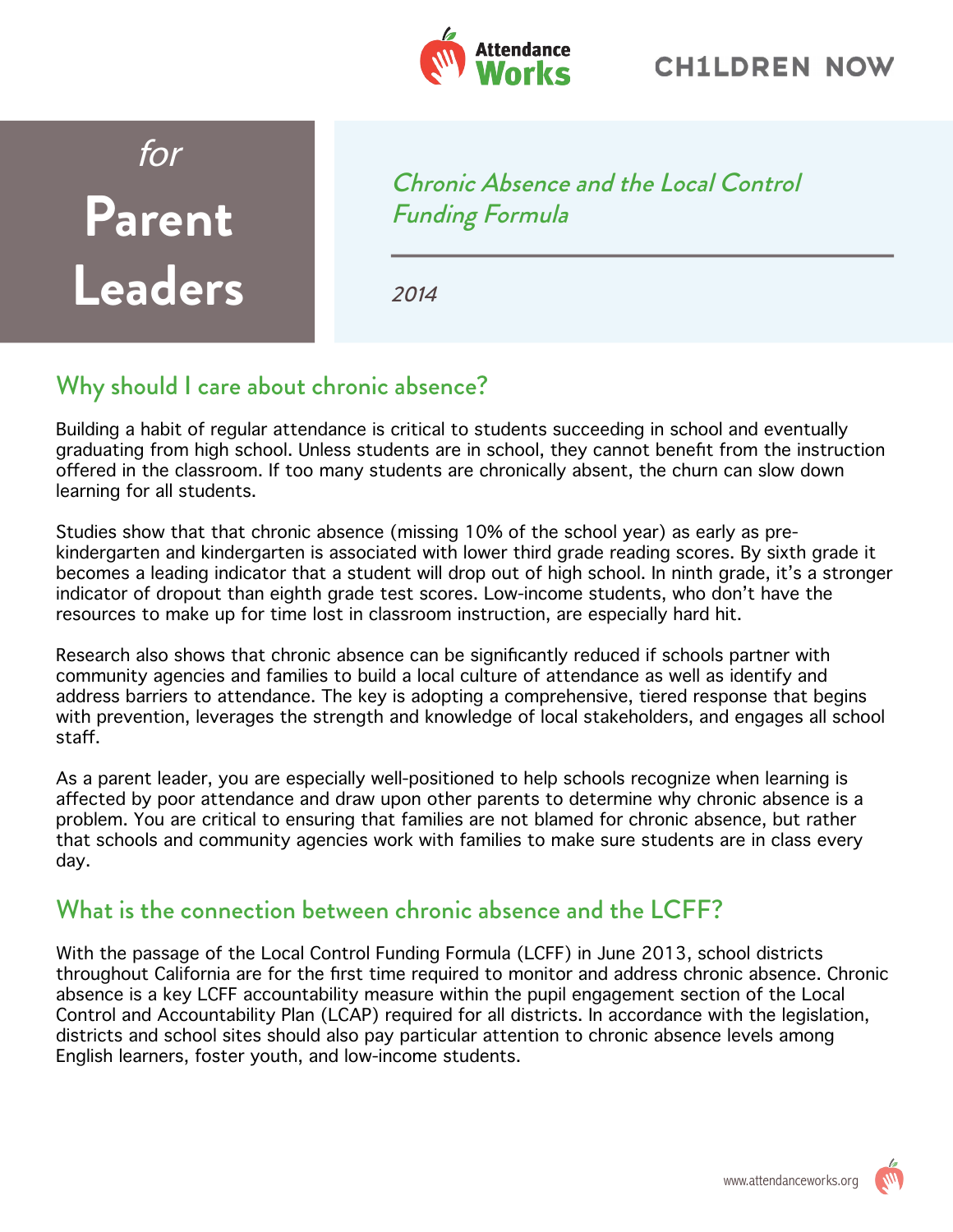

## for **Parent Leaders**

Chronic Absence and the Local Control Funding Formula

2014

## Why should I care about chronic absence?

Building a habit of regular attendance is critical to students succeeding in school and eventually graduating from high school. Unless students are in school, they cannot benefit from the instruction offered in the classroom. If too many students are chronically absent, the churn can slow down learning for all students.

Studies show that that chronic absence (missing 10% of the school year) as early as prekindergarten and kindergarten is associated with lower third grade reading scores. By sixth grade it becomes a leading indicator that a student will drop out of high school. In ninth grade, it's a stronger indicator of dropout than eighth grade test scores. Low-income students, who don't have the resources to make up for time lost in classroom instruction, are especially hard hit.

Research also shows that chronic absence can be significantly reduced if schools partner with community agencies and families to build a local culture of attendance as well as identify and address barriers to attendance. The key is adopting a comprehensive, tiered response that begins with prevention, leverages the strength and knowledge of local stakeholders, and engages all school staff.

As a parent leader, you are especially well-positioned to help schools recognize when learning is affected by poor attendance and draw upon other parents to determine why chronic absence is a problem. You are critical to ensuring that families are not blamed for chronic absence, but rather that schools and community agencies work with families to make sure students are in class every day.

## What is the connection between chronic absence and the LCFF?

With the passage of the Local Control Funding Formula (LCFF) in June 2013, school districts throughout California are for the first time required to monitor and address chronic absence. Chronic absence is a key LCFF accountability measure within the pupil engagement section of the Local Control and Accountability Plan (LCAP) required for all districts. In accordance with the legislation, districts and school sites should also pay particular attention to chronic absence levels among English learners, foster youth, and low-income students.